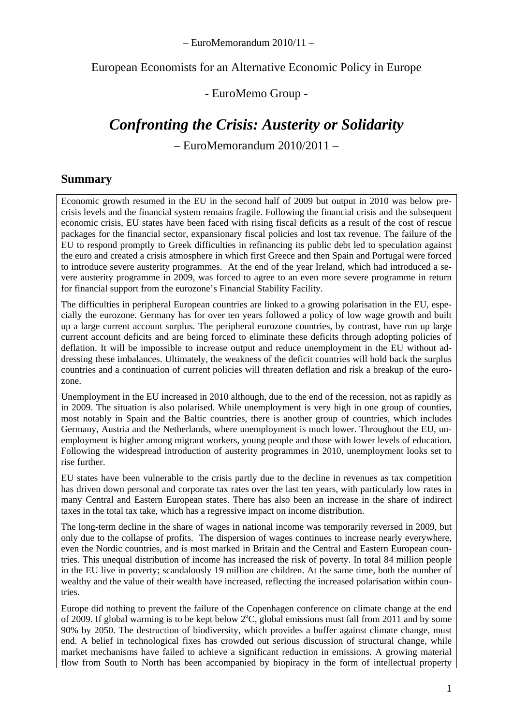– EuroMemorandum 2010/11 –

#### European Economists for an Alternative Economic Policy in Europe

## - EuroMemo Group -

## *Confronting the Crisis: Austerity or Solidarity*

– EuroMemorandum 2010/2011 –

### **Summary**

Economic growth resumed in the EU in the second half of 2009 but output in 2010 was below precrisis levels and the financial system remains fragile. Following the financial crisis and the subsequent economic crisis, EU states have been faced with rising fiscal deficits as a result of the cost of rescue packages for the financial sector, expansionary fiscal policies and lost tax revenue. The failure of the EU to respond promptly to Greek difficulties in refinancing its public debt led to speculation against the euro and created a crisis atmosphere in which first Greece and then Spain and Portugal were forced to introduce severe austerity programmes. At the end of the year Ireland, which had introduced a severe austerity programme in 2009, was forced to agree to an even more severe programme in return for financial support from the eurozone's Financial Stability Facility.

The difficulties in peripheral European countries are linked to a growing polarisation in the EU, especially the eurozone. Germany has for over ten years followed a policy of low wage growth and built up a large current account surplus. The peripheral eurozone countries, by contrast, have run up large current account deficits and are being forced to eliminate these deficits through adopting policies of deflation. It will be impossible to increase output and reduce unemployment in the EU without addressing these imbalances. Ultimately, the weakness of the deficit countries will hold back the surplus countries and a continuation of current policies will threaten deflation and risk a breakup of the eurozone.

Unemployment in the EU increased in 2010 although, due to the end of the recession, not as rapidly as in 2009. The situation is also polarised. While unemployment is very high in one group of counties, most notably in Spain and the Baltic countries, there is another group of countries, which includes Germany, Austria and the Netherlands, where unemployment is much lower. Throughout the EU, unemployment is higher among migrant workers, young people and those with lower levels of education. Following the widespread introduction of austerity programmes in 2010, unemployment looks set to rise further.

EU states have been vulnerable to the crisis partly due to the decline in revenues as tax competition has driven down personal and corporate tax rates over the last ten years, with particularly low rates in many Central and Eastern European states. There has also been an increase in the share of indirect taxes in the total tax take, which has a regressive impact on income distribution.

The long-term decline in the share of wages in national income was temporarily reversed in 2009, but only due to the collapse of profits. The dispersion of wages continues to increase nearly everywhere, even the Nordic countries, and is most marked in Britain and the Central and Eastern European countries. This unequal distribution of income has increased the risk of poverty. In total 84 million people in the EU live in poverty; scandalously 19 million are children. At the same time, both the number of wealthy and the value of their wealth have increased, reflecting the increased polarisation within countries.

Europe did nothing to prevent the failure of the Copenhagen conference on climate change at the end of 2009. If global warming is to be kept below  $2^{\circ}$ C, global emissions must fall from 2011 and by some 90% by 2050. The destruction of biodiversity, which provides a buffer against climate change, must end. A belief in technological fixes has crowded out serious discussion of structural change, while market mechanisms have failed to achieve a significant reduction in emissions. A growing material flow from South to North has been accompanied by biopiracy in the form of intellectual property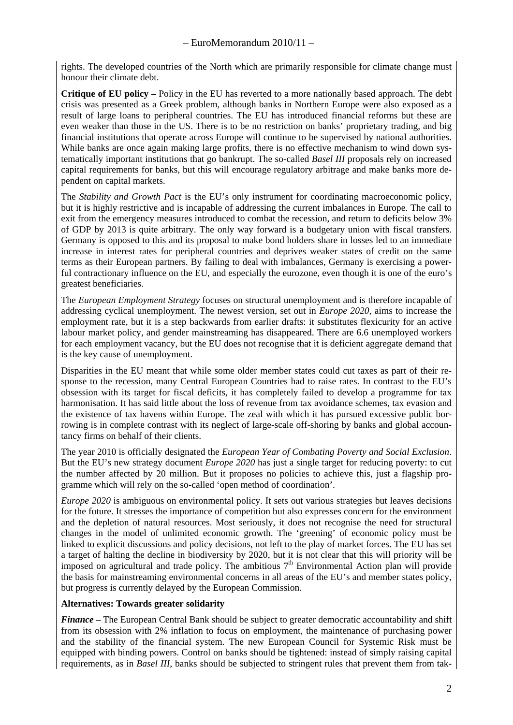rights. The developed countries of the North which are primarily responsible for climate change must honour their climate debt.

**Critique of EU policy** – Policy in the EU has reverted to a more nationally based approach. The debt crisis was presented as a Greek problem, although banks in Northern Europe were also exposed as a result of large loans to peripheral countries. The EU has introduced financial reforms but these are even weaker than those in the US. There is to be no restriction on banks' proprietary trading, and big financial institutions that operate across Europe will continue to be supervised by national authorities. While banks are once again making large profits, there is no effective mechanism to wind down systematically important institutions that go bankrupt. The so-called *Basel III* proposals rely on increased capital requirements for banks, but this will encourage regulatory arbitrage and make banks more dependent on capital markets.

The *Stability and Growth Pact* is the EU's only instrument for coordinating macroeconomic policy, but it is highly restrictive and is incapable of addressing the current imbalances in Europe. The call to exit from the emergency measures introduced to combat the recession, and return to deficits below 3% of GDP by 2013 is quite arbitrary. The only way forward is a budgetary union with fiscal transfers. Germany is opposed to this and its proposal to make bond holders share in losses led to an immediate increase in interest rates for peripheral countries and deprives weaker states of credit on the same terms as their European partners. By failing to deal with imbalances, Germany is exercising a powerful contractionary influence on the EU, and especially the eurozone, even though it is one of the euro's greatest beneficiaries.

The *European Employment Strategy* focuses on structural unemployment and is therefore incapable of addressing cyclical unemployment. The newest version, set out in *Europe 2020,* aims to increase the employment rate, but it is a step backwards from earlier drafts: it substitutes flexicurity for an active labour market policy, and gender mainstreaming has disappeared. There are 6.6 unemployed workers for each employment vacancy, but the EU does not recognise that it is deficient aggregate demand that is the key cause of unemployment.

Disparities in the EU meant that while some older member states could cut taxes as part of their response to the recession, many Central European Countries had to raise rates. In contrast to the EU's obsession with its target for fiscal deficits, it has completely failed to develop a programme for tax harmonisation. It has said little about the loss of revenue from tax avoidance schemes, tax evasion and the existence of tax havens within Europe. The zeal with which it has pursued excessive public borrowing is in complete contrast with its neglect of large-scale off-shoring by banks and global accountancy firms on behalf of their clients.

The year 2010 is officially designated the *European Year of Combating Poverty and Social Exclusion*. But the EU's new strategy document *Europe 2020* has just a single target for reducing poverty: to cut the number affected by 20 million. But it proposes no policies to achieve this, just a flagship programme which will rely on the so-called 'open method of coordination'.

*Europe 2020* is ambiguous on environmental policy. It sets out various strategies but leaves decisions for the future. It stresses the importance of competition but also expresses concern for the environment and the depletion of natural resources. Most seriously, it does not recognise the need for structural changes in the model of unlimited economic growth. The 'greening' of economic policy must be linked to explicit discussions and policy decisions, not left to the play of market forces. The EU has set a target of halting the decline in biodiversity by 2020, but it is not clear that this will priority will be imposed on agricultural and trade policy. The ambitious  $7<sup>th</sup>$  Environmental Action plan will provide the basis for mainstreaming environmental concerns in all areas of the EU's and member states policy, but progress is currently delayed by the European Commission.

#### **Alternatives: Towards greater solidarity**

*Finance –* The European Central Bank should be subject to greater democratic accountability and shift from its obsession with 2% inflation to focus on employment, the maintenance of purchasing power and the stability of the financial system. The new European Council for Systemic Risk must be equipped with binding powers. Control on banks should be tightened: instead of simply raising capital requirements, as in *Basel III*, banks should be subjected to stringent rules that prevent them from tak-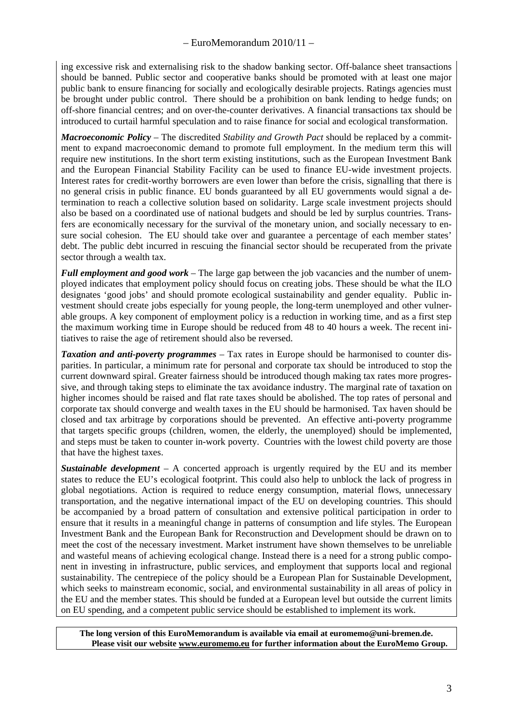ing excessive risk and externalising risk to the shadow banking sector. Off-balance sheet transactions should be banned. Public sector and cooperative banks should be promoted with at least one major public bank to ensure financing for socially and ecologically desirable projects. Ratings agencies must be brought under public control. There should be a prohibition on bank lending to hedge funds; on off-shore financial centres; and on over-the-counter derivatives. A financial transactions tax should be introduced to curtail harmful speculation and to raise finance for social and ecological transformation.

*Macroeconomic Policy –* The discredited *Stability and Growth Pact* should be replaced by a commitment to expand macroeconomic demand to promote full employment. In the medium term this will require new institutions. In the short term existing institutions, such as the European Investment Bank and the European Financial Stability Facility can be used to finance EU-wide investment projects. Interest rates for credit-worthy borrowers are even lower than before the crisis, signalling that there is no general crisis in public finance. EU bonds guaranteed by all EU governments would signal a determination to reach a collective solution based on solidarity. Large scale investment projects should also be based on a coordinated use of national budgets and should be led by surplus countries. Transfers are economically necessary for the survival of the monetary union, and socially necessary to ensure social cohesion. The EU should take over and guarantee a percentage of each member states' debt. The public debt incurred in rescuing the financial sector should be recuperated from the private sector through a wealth tax.

*Full employment and good work –* The large gap between the job vacancies and the number of unemployed indicates that employment policy should focus on creating jobs. These should be what the ILO designates 'good jobs' and should promote ecological sustainability and gender equality. Public investment should create jobs especially for young people, the long-term unemployed and other vulnerable groups. A key component of employment policy is a reduction in working time, and as a first step the maximum working time in Europe should be reduced from 48 to 40 hours a week. The recent initiatives to raise the age of retirement should also be reversed.

*Taxation and anti-poverty programmes –* Tax rates in Europe should be harmonised to counter disparities. In particular, a minimum rate for personal and corporate tax should be introduced to stop the current downward spiral. Greater fairness should be introduced though making tax rates more progressive, and through taking steps to eliminate the tax avoidance industry. The marginal rate of taxation on higher incomes should be raised and flat rate taxes should be abolished. The top rates of personal and corporate tax should converge and wealth taxes in the EU should be harmonised. Tax haven should be closed and tax arbitrage by corporations should be prevented. An effective anti-poverty programme that targets specific groups (children, women, the elderly, the unemployed) should be implemented, and steps must be taken to counter in-work poverty. Countries with the lowest child poverty are those that have the highest taxes.

*Sustainable development –* A concerted approach is urgently required by the EU and its member states to reduce the EU's ecological footprint. This could also help to unblock the lack of progress in global negotiations. Action is required to reduce energy consumption, material flows, unnecessary transportation, and the negative international impact of the EU on developing countries. This should be accompanied by a broad pattern of consultation and extensive political participation in order to ensure that it results in a meaningful change in patterns of consumption and life styles. The European Investment Bank and the European Bank for Reconstruction and Development should be drawn on to meet the cost of the necessary investment. Market instrument have shown themselves to be unreliable and wasteful means of achieving ecological change. Instead there is a need for a strong public component in investing in infrastructure, public services, and employment that supports local and regional sustainability. The centrepiece of the policy should be a European Plan for Sustainable Development, which seeks to mainstream economic, social, and environmental sustainability in all areas of policy in the EU and the member states. This should be funded at a European level but outside the current limits on EU spending, and a competent public service should be established to implement its work.

**The long version of this EuroMemorandum is available via email at euromemo@uni-bremen.de. Please visit our website www.euromemo.eu for further information about the EuroMemo Group.**